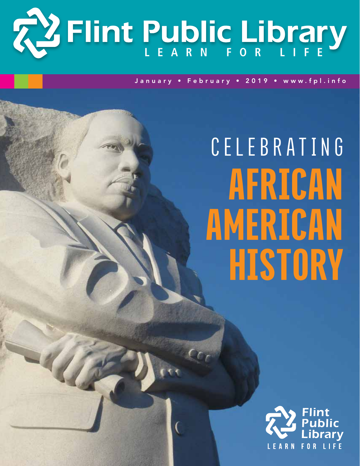

January • February • 2019 • www.fpl.info

# **CELEBRATING** African american **HISTORY**

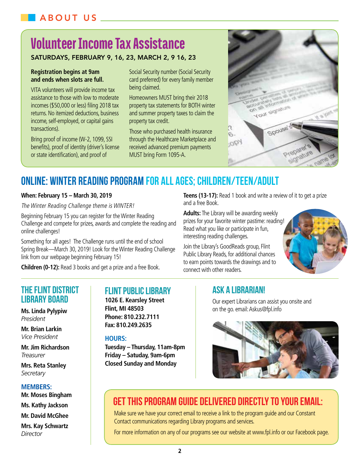# Volunteer Income Tax Assistance

## Saturdays, February 9, 16, 23, March 2, 9 16, 23

#### **Registration begins at 9am and ends when slots are full.**

VITA volunteers will provide income tax assistance to those with low to moderate incomes (\$50,000 or less) filing 2018 tax returns. No itemized deductions, business income, self-employed, or capital gains transactions).

Bring proof of income (W-2, 1099, SSI benefits), proof of identity (driver's license or state identification), and proof of

Social Security number (Social Security card preferred) for every family member being claimed.

Homeowners MUST bring their 2018 property tax statements for BOTH winter and summer property taxes to claim the property tax credit.

Those who purchased health insurance through the Healthcare Marketplace and received advanced premium payments MUST bring Form 1095-A.

and a free Book.



# **ONLINE: Winter Reading Program for all ages; Children/Teen/Adult**

## **When: February 15 – March 30, 2019**

The Winter Reading Challenge theme is WINTER!

Beginning February 15 you can register for the Winter Reading Challenge and compete for prizes, awards and complete the reading and online challenges!

Something for all ages! The Challenge runs until the end of school Spring Break—March 30, 2019! Look for the Winter Reading Challenge link from our webpage beginning February 15!

**Children (0-12):** Read 3 books and get a prize and a free Book.

## **The Flint District Library Board**

**Ms. Linda Pylypiw** *President*

**Mr. Brian Larkin** *Vice President*

**Mr. Jim Richardson** *Treasurer*

**Mrs. Reta Stanley** *Secretary*

### **Members:**

**Mr. Moses Bingham Ms. Kathy Jackson Mr. David McGhee**

**Mrs. Kay Schwartz**  *Director*

## **Flint Public Library**

**1026 E. Kearsley Street Flint, MI 48503 Phone: 810.232.7111 Fax: 810.249.2635**

### **Hours:**

**Tuesday – Thursday, 11am-8pm Friday – Satuday, 9am-6pm Closed Sunday and Monday**

# **Ask A Librarian!**

**Adults:** The Library will be awarding weekly prizes for your favorite winter pastime: reading! Read what you like or participate in fun,

Join the Library's GoodReads group, Flint Public Library Reads, for additional chances to earn points towards the drawings and to

interesting reading challenges.

connect with other readers.

Our expert Librarians can assist you onsite and on the go. email: Askus@fpl.info

**Teens (13-17):** Read 1 book and write a review of it to get a prize



# Get this program guide delivered directly to your Email:

Make sure we have your correct email to receive a link to the program guide and our Constant Contact communications regarding Library programs and services.

For more information on any of our programs see our website at www.fpl.info or our Facebook page.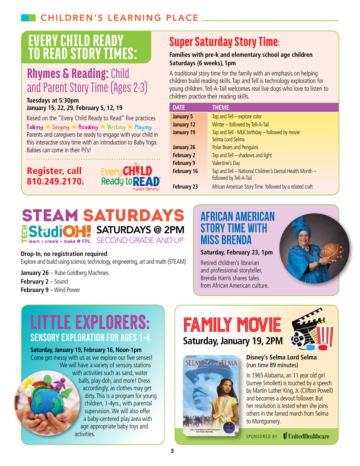# Every Child Ready to Read Story Times:

# Rhymes & Reading: Child and Parent Story Time (Ages 2-3)

### **Tuesdays at 5:30pm January 15, 22, 29, February 5, 12, 19**

Based on the "Every Child Ready to Read" five practices Talking ★ Singing ★ Reading ★ Writing ★ Playing Parents and caregivers be ready to engage with your child in this interactive story time with an introduction to Baby Yoga. Babies can come in their PJ's!





# Super Saturday Story Time:

## **Families with pre-k and elementary school age children Saturdays (6 weeks), 1pm**

A traditional story time for the family with an emphasis on helping children build reading skills. Tap and Tell is technology exploration for young children. Tell-A-Tail welcomes real live dogs who love to listen to children practice their reading skills.

| <b>DATE</b>        | <b>THEME</b>                                             |
|--------------------|----------------------------------------------------------|
| <b>January 5</b>   | Tap and Tell - explore color                             |
| <b>January 12</b>  | Winter - followed by Tell-A-Tail                         |
| <b>January 19</b>  | Tap and Tell - MLK birthday - followed by movie:         |
|                    | Selma Lord Selma                                         |
| <b>January 26</b>  | Polar Bears and Penguins                                 |
| <b>February 2</b>  | Tap and Tell - shadows and light                         |
| <b>February 9</b>  | Valentine's Day                                          |
| <b>February 16</b> | Tap and Tell - National Children's Dental Health Month - |
|                    | followed by Tell-A-Tail                                  |
| <b>February 23</b> | African American Story Time followed by a related craft  |

# STEAM SATURDAYS StudiOH! SATURDAYS @ 2PM Learn • create • make @ FPL SECOND GRADE AND UP

## **Drop-In, no registration required**

Explore and build using science, technology, engineering, art and math (STEAM)

**January 26** – Rube Goldberg Machines **February 2** – Sound **February 9** – Wind Power

# **African American Story Time with Miss Brenda**

## **Saturday, February 23, 1pm**

Retired children's librarian and professional storyteller, Brenda Harris shares tales from African American culture.



# **Sensory Exploration for Ages 1-4** Little Explorers:

## **Saturday, January 19, February 16, Noon-1pm**

Come get messy with us as we explore our five senses! We will have a variety of sensory stations with activities such as sand, water balls, play-doh, and more! Dress accordingly, as clothes may get dirty. This is a program for young children, 1-4yrs., with parental supervision. We will also offer a baby-centered play area with age appropriate baby toys and activities.







## **Disney's Selma Lord Selma**  (run time 89 minutes)

In 1965 Alabama, an 11 year old girl (Jurnee Smollett) is touched by a speech by Martin Luther King, Jr. (Clifton Powell) and becomes a devout follower. But her resolution is tested when she joins others in the famed march from Selma to Montgomery.

SPONSORED BY

**J**UnitedHealthcare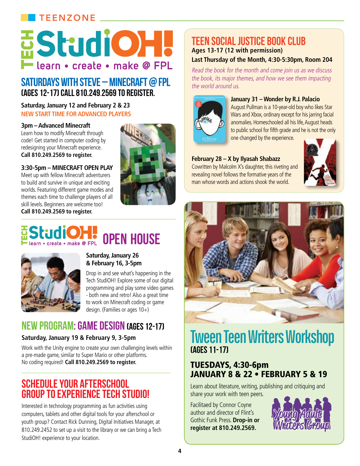# **TEENZONE**

# **EStudiOH. Tearn • create • make @ FPL**

# Saturdays with Steve – Minecraft @ FPL (Ages 12-17) Call810.249**.**2569to register.

#### **Saturday, January 12 and February 2 & 23 NEW START TIME FORADVANCED PLAYERS**

## **3pm – Advanced Minecraft**

Learn how to modify Minecraft through code! Get started in computer coding by redesigning your Minecraft experience. **Call 810.249.2569 to register.**





# Studion - create - make @ FPL OPEN HOUSE



### **Saturday, January 26 & February 16, 3-5pm**

Drop in and see what's happening in the Tech StudiOH! Explore some of our digital programming and play some video games - both new and retro! Also a great time to work on Minecraft coding or game design. (Families or ages 10+)

# NEW PROGRAM: GAME DESIGN (Ages 12-17)

## **Saturday, January 19 & February 9, 3-5pm**

Work with the Unity engine to create your own challenging levels within a pre-made game, similar to Super Mario or other platforms. No coding required! **Call 810.249.2569 to register.**

# Schedule your Afterschool Group to experience tech studio!

Interested in technology programming as fun activities using computers, tablets and other digital tools for your afterschool or youth group? Contact Rick Dunning, Digital Initiatives Manager, at 810.249.2452 to set up a visit to the library or we can bring a Tech StudiOH! experience to your location.

# teen social justice book club **Ages 13-17 (12 with permission)**

## **Last Thursday of the Month, 4:30-5:30pm, Room 204**

Read the book for the month and come join us as we discuss the book, its major themes, and how we see them impacting the world around us.



## **January 31 – Wonder by R.J. Palacio**

August Pullman is a 10-year-old boy who likes Star Wars and Xbox, ordinary except for his jarring facial anomalies. Homeschooled all his life, August heads to public school for fifth grade and he is not the only

one changed by the experience.

## **February 28 – X by Ilyasah Shabazz**

Cowritten by Malcolm X's daughter, this riveting and revealing novel follows the formative years of the man whose words and actions shook the world.





# **Tween Teen Writers Workshop**  (ages 11-17)

## Tuesdays, 4:30-6pm January 8 & 22 • February 5 & 19

Learn about literature, writing, publishing and critiquing and share your work with teen peers.

Facilitaed by Connor Coyne author and director of Flint's Gothic Funk Press. **Drop-in or register at 810.249.2569.**

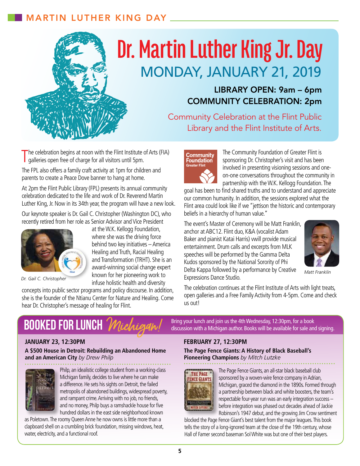# Martin Luther King Day



# **Dr. Martin Luther King Jr. Day** Monday, January 21, 2019

# Library Open: 9am – 6pm Community Celebration: 2pm

Community Celebration at the Flint Public Library and the Flint Institute of Arts.

The celebration begins at noon with the Flint Institute is galleries open free of charge for all visitors until 5pm. he celebration begins at noon with the Flint Institute of Arts (FIA)

The FPL also offers a family craft activity at 1pm for children and parents to create a Peace Dove banner to hang at home.

At 2pm the Flint Public Library (FPL) presents its annual community celebration dedicated to the life and work of Dr. Reverend Martin Luther King, Jr. Now in its 34th year, the program will have a new look.

Our keynote speaker is Dr. Gail C. Christopher (Washington DC), who recently retired from her role as Senior Advisor and Vice President

> at the W.K. Kellogg Foundation, where she was the driving force behind two key initiatives – America Healing and Truth, Racial Healing and Transformation (TRHT). She is an award-winning social change expert known for her pioneering work to



*Dr. Gail C. Christopher*

infuse holistic health and diversity concepts into public sector programs and policy discourse. In addition, she is the founder of the Ntianu Center for Nature and Healing. Come hear Dr. Christopher's message of healing for Flint.



The Community Foundation of Greater Flint is sponsoring Dr. Christopher's visit and has been involved in presenting visioning sessions and oneon-one conversations throughout the community in partnership with the W.K. Kellogg Foundation. The

goal has been to find shared truths and to understand and appreciate our common humanity. In addition, the sessions explored what the Flint area could look like if we "jettison the historic and contemporary beliefs in a hierarchy of human value."

The event's Master of Ceremony will be Matt Franklin, anchor at ABC12. Flint duo, K&A (vocalist Adam Baker and pianist Katai Harris) vwill provide musical entertainment. Drum calls and excerpts from MLK speeches will be performed by the Gamma Delta Kudos sponsored by the National Sorority of Phi Delta Kappa followed by a performance by Creative Expressions Dance Studio.



*Matt Franklin*

The celebration continues at the Flint Institute of Arts with light treats, open galleries and a Free Family Activity from 4-5pm. Come and check us out!

# **BOOKED FOR LUNCH '**

**A \$500 House in Detroit: Rebuilding an Abandoned Home and an American City** *by Drew Philp*



Philp, an idealistic college student from a working-class Michigan family, decides to live where he can make a difference. He sets his sights on Detroit, the failed metropolis of abandoned buildings, widespread poverty, and rampant crime. Arriving with no job, no friends, and no money, Philp buys a ramshackle house for five hundred dollars in the east side neighborhood known

as Poletown. The roomy Queen Anne he now owns is little more than a clapboard shell on a crumbling brick foundation, missing windows, heat, water, electricity, and a functional roof.

Bring your lunch and join us the 4th Wednesday, 12:30pm, for a book discussion with a Michigan author. Books will be available for sale and signing.

## **January 23, 12:30pm February 27, 12:30pm**

**The Page Fence Giants: A History of Black Baseball's Pioneering Champions** *by Mitch Lutzke*



The Page Fence Giants, an all-star black baseball club sponsored by a woven-wire fence company in Adrian, Michigan, graced the diamond in the 1890s. Formed through a partnership between black and white boosters, the team's respectable four-year run was an early integration success – before integration was phased out decades ahead of Jackie Robinson's 1947 debut, and the growing Jim Crow sentiment

blocked the Page Fence Giant's best talent from the major leagues. This book tells the story of a long-ignored team at the close of the 19th century, whose Hall of Famer second baseman Sol White was but one of their best players.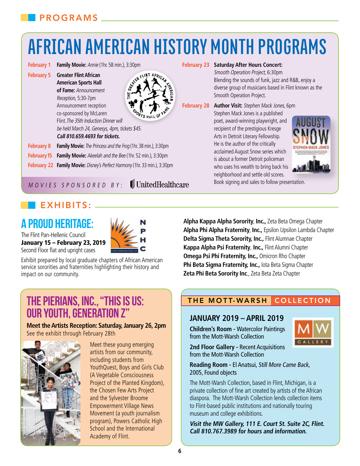# **African American History Month Programs**

- **February 1 Family Movie:** Annie (1hr. 58 min.), 3:30pm
- **February 5 Greater Flint African American Sports Hall of Fame:** Announcement Reception, 5:30-7pm Announcement reception

co-sponsored by McLaren

**Call 810.659.4693 for tickets.**

be held March 24, Genesys, 4pm, tickets \$45.

**February 8 Family Movie:** The Princess and the Frog (1hr. 38 min.), 3:30pm **February 15 Family Movie:** Akeelah and the Bee (1hr. 52 min.), 3:30pm **February 22 Family Movie:** Disney's Perfect Harmony (1hr. 33 min.), 3:30pm



 $\mathbb I$  United Healthcare

#### **February 23 Saturday After Hours Concert:**

Smooth Operation Project, 6:30pm Blending the sounds of funk, jazz and R&B, enjoy a diverse group of musicians based in Flint known as the Smooth Operation Project.

**February 28 Author Visit:** Stephen Mack Jones, 6pm Stephen Mack Jones is a published poet, award-winning playwright, and recipient of the prestigious Kresge Arts in Detroit Literary Fellowship. He is the author of the critically acclaimed August Snow series which is about a former Detroit policeman who uses his wealth to bring back his neighborhood and settle old scores.



Book signing and sales to follow presentation.

# $FXHIBITS:$

M ovies sponsored by :

# **A Proud Heritage:**



The Flint Pan-Hellenic Council January 15 – February 23, 2019 Second Floor flat and upright cases

Exhibit prepared by local graduate chapters of African American service sororities and fraternities highlighting their history and impact on our community.

## **Alpha Kappa Alpha Sorority**, **Inc.,** Zeta Beta Omega Chapter **Alpha Phi Alpha Fraternity**, **Inc.,** Epsilon Upsilon Lambda Chapter **Delta Sigma Theta Sorority, Inc.,** Flint Alumnae Chapter **Kappa Alpha Psi Fraternity**, **Inc.,** Flint Alumni Chapter **Omega Psi Phi Fraternity, Inc.,** Omicron Rho Chapter **Phi Beta Sigma Fraternity, Inc.,** Iota Beta Sigma Chapter **Zeta Phi Beta Sorority Inc**., Zeta Beta Zeta Chapter

# **The Pierians, Inc., "This is Us: Our Youth, Generation Z"**

**Meet the Artists Reception: Saturday, January 26, 2pm** See the exhibit through February 28th



Meet these young emerging artists from our community, including students from YouthQuest, Boys and Girls Club (A Vegetable Consciousness Project of the Planted Kingdom), the Chosen Few Arts Project and the Sylvester Broome Empowerment Village News Movement (a youth journalism program), Powers Catholic High School and the International Academy of Flint.

## THE MOTT-WARSH COLLECTION

## **January 2019 – April 2019**

**Children's Room -** Watercolor Paintings from the Mott-Warsh Collection

**2nd Floor Gallery -** Recent Acquisitions

from the Mott-Warsh Collection



**Reading Room -** El Anatsui, Still More Came Back, 2005, Found objects

The Mott-Warsh Collection, based in Flint, Michigan, is a private collection of fine art created by artists of the African diaspora. The Mott-Warsh Collection lends collection items to Flint-based public institutions and nationally touring museum and college exhibitions.

**Visit the MW Gallery, 111 E. Court St. Suite 2C, Flint. Call 810.767.3989 for hours and information.**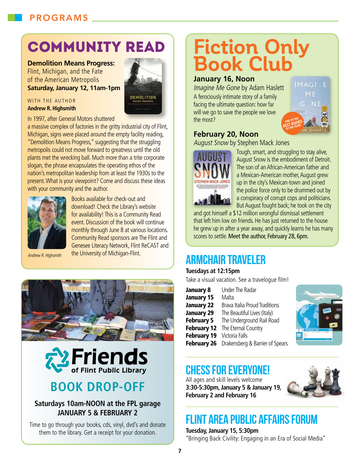# Programs

# community read

## **Demolition Means Progress:**

Flint, Michigan, and the Fate of the American Metropolis **Saturday, January 12, 11am-1pm**



#### WITH THE AUTHOR **Andrew R. Highsmith**

In 1997, after General Motors shuttered

a massive complex of factories in the gritty industrial city of Flint, Michigan, signs were placed around the empty facility reading, "Demolition Means Progress," suggesting that the struggling metropolis could not move forward to greatness until the old plants met the wrecking ball. Much more than a trite corporate slogan, the phrase encapsulates the operating ethos of the nation's metropolitan leadership from at least the 1930s to the present. What is your viewpoint? Come and discuss these ideas with your community and the author.



Books available for check-out and download! Check the Library's website for availability! This is a Community Read event. Discussion of the book will continue monthly through June 8 at various locations. Community Read sponsors are The Flint and Genesee Literacy Network, Flint ReCAST and the University of Michigan-Flint.

Andrew R. Highsmith





# **Book Drop-Off**

## **Saturdays 10am-NOON at the FPL garage January 5 & February 2**

Time to go through your books, cds, vinyl, dvd's and donate them to the library. Get a receipt for your donation.

# **Fiction Only Book Club**

## **January 16, Noon**

Imagine Me Gone by Adam Haslett

A ferociously intimate story of a family facing the ultimate question: how far will we go to save the people we love the most?



## **February 20, Noon**

August Snow by Stephen Mack Jones



Tough, smart, and struggling to stay alive, August Snow is the embodiment of Detroit. The son of an African-American father and a Mexican-American mother, August grew up in the city's Mexican-town and joined the police force only to be drummed out by a conspiracy of corrupt cops and politicians. But August fought back; he took on the city

and got himself a \$12 million wrongful dismissal settlement that left him low on friends. He has just returned to the house he grew up in after a year away, and quickly learns he has many scores to settle. Meet the author, February 28, 6pm.

# **Armchair Traveler**

## **Tuesdays at 12:15pm**

Take a visual vacation. See a travelogue film!

| <b>January 8</b>   | <b>Under The Radar</b>               |
|--------------------|--------------------------------------|
| <b>January 15</b>  | Malta                                |
| <b>January 22</b>  | <b>Brava Italia Proud Traditions</b> |
| <b>January 29</b>  | The Beautiful Lives (Italy)          |
| <b>February 5</b>  | The Underground Rail Road            |
| <b>February 12</b> | The Eternal Country                  |
| <b>February 19</b> | Victoria Falls                       |
| <b>February 26</b> | Drakensberg & Barrier of Spears      |



# **Chess for Everyone!**

All ages and skill levels welcome **3:30-5:30pm, January 5 & January 19, February 2 and February 16**



# **flint area public affairs forum**

**Tuesday, January 15, 5:30pm** "Bringing Back Civility: Engaging in an Era of Social Media"